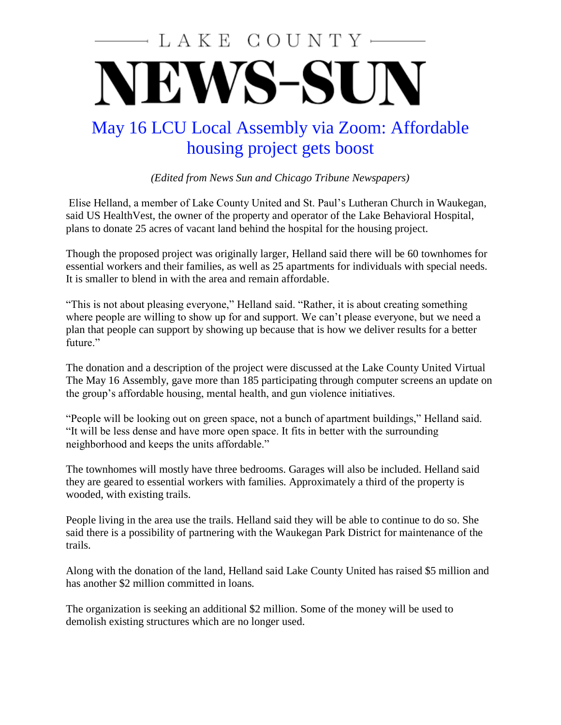## LAKE COUNTY NEWS-SUN

## May 16 LCU Local Assembly via Zoom: Affordable housing project gets boost

*(Edited from News Sun and Chicago Tribune Newspapers)*

Elise Helland, a member of Lake County United and St. Paul's Lutheran Church in Waukegan, said US HealthVest, the owner of the property and operator of the Lake Behavioral Hospital, plans to donate 25 acres of vacant land behind the hospital for the housing project.

Though the proposed project was originally larger, Helland said there will be 60 townhomes for essential workers and their families, as well as 25 apartments for individuals with special needs. It is smaller to blend in with the area and remain affordable.

"This is not about pleasing everyone," Helland said. "Rather, it is about creating something where people are willing to show up for and support. We can't please everyone, but we need a plan that people can support by showing up because that is how we deliver results for a better future."

The donation and a description of the project were discussed at the Lake County United Virtual The May 16 Assembly, gave more than 185 participating through computer screens an update on the group's affordable housing, mental health, and gun violence initiatives.

"People will be looking out on green space, not a bunch of apartment buildings," Helland said. "It will be less dense and have more open space. It fits in better with the surrounding neighborhood and keeps the units affordable."

The townhomes will mostly have three bedrooms. Garages will also be included. Helland said they are geared to essential workers with families. Approximately a third of the property is wooded, with existing trails.

People living in the area use the trails. Helland said they will be able to continue to do so. She said there is a possibility of partnering with the Waukegan Park District for maintenance of the trails.

Along with the donation of the land, Helland said Lake County United has raised \$5 million and has another \$2 million committed in loans.

The organization is seeking an additional \$2 million. Some of the money will be used to demolish existing structures which are no longer used.